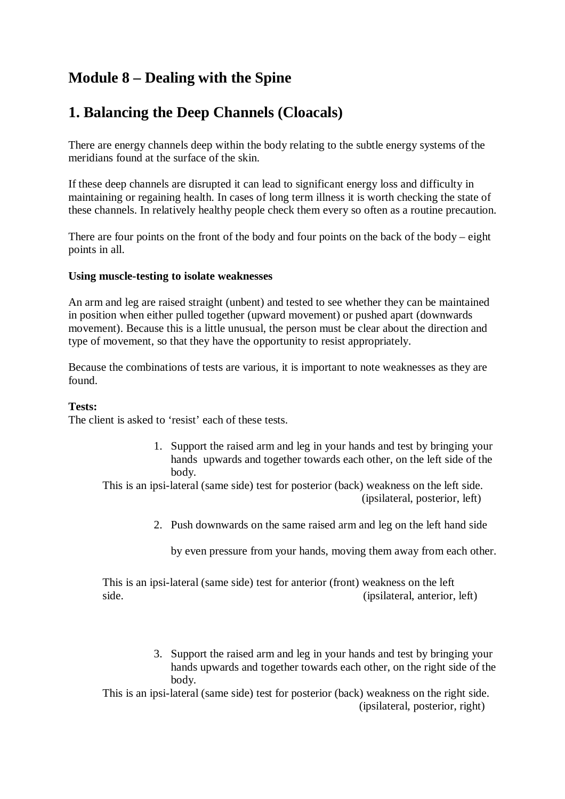# **Module 8 – Dealing with the Spine**

## **1. Balancing the Deep Channels (Cloacals)**

There are energy channels deep within the body relating to the subtle energy systems of the meridians found at the surface of the skin.

If these deep channels are disrupted it can lead to significant energy loss and difficulty in maintaining or regaining health. In cases of long term illness it is worth checking the state of these channels. In relatively healthy people check them every so often as a routine precaution.

There are four points on the front of the body and four points on the back of the body – eight points in all.

### **Using muscle-testing to isolate weaknesses**

An arm and leg are raised straight (unbent) and tested to see whether they can be maintained in position when either pulled together (upward movement) or pushed apart (downwards movement). Because this is a little unusual, the person must be clear about the direction and type of movement, so that they have the opportunity to resist appropriately.

Because the combinations of tests are various, it is important to note weaknesses as they are found.

#### **Tests:**

The client is asked to 'resist' each of these tests.

1. Support the raised arm and leg in your hands and test by bringing your hands upwards and together towards each other, on the left side of the body.

This is an ipsi-lateral (same side) test for posterior (back) weakness on the left side. (ipsilateral, posterior, left)

2. Push downwards on the same raised arm and leg on the left hand side

by even pressure from your hands, moving them away from each other.

This is an ipsi-lateral (same side) test for anterior (front) weakness on the left side. (ipsilateral, anterior, left)

> 3. Support the raised arm and leg in your hands and test by bringing your hands upwards and together towards each other, on the right side of the body.

This is an ipsi-lateral (same side) test for posterior (back) weakness on the right side. (ipsilateral, posterior, right)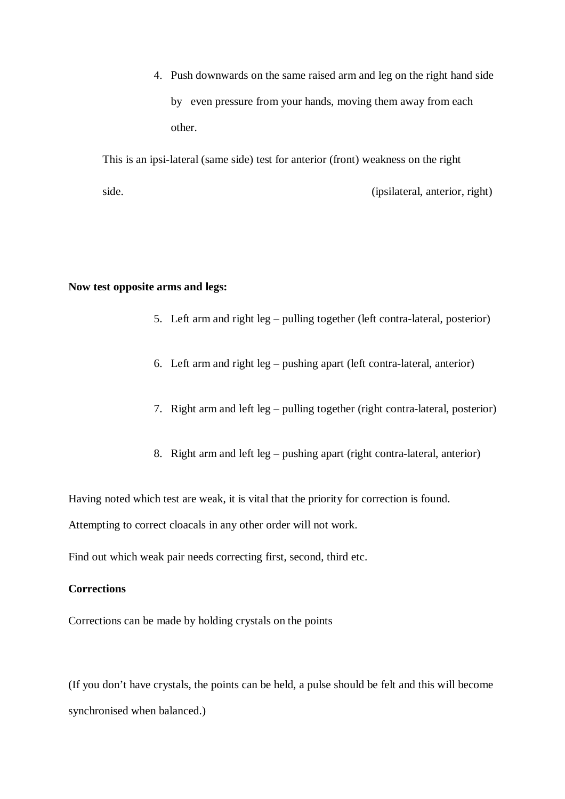4. Push downwards on the same raised arm and leg on the right hand side by even pressure from your hands, moving them away from each other.

This is an ipsi-lateral (same side) test for anterior (front) weakness on the right side. (ipsilateral, anterior, right)

#### **Now test opposite arms and legs:**

- 5. Left arm and right leg pulling together (left contra-lateral, posterior)
- 6. Left arm and right leg pushing apart (left contra-lateral, anterior)
- 7. Right arm and left leg pulling together (right contra-lateral, posterior)
- 8. Right arm and left leg pushing apart (right contra-lateral, anterior)

Having noted which test are weak, it is vital that the priority for correction is found.

Attempting to correct cloacals in any other order will not work.

Find out which weak pair needs correcting first, second, third etc.

## **Corrections**

Corrections can be made by holding crystals on the points

(If you don't have crystals, the points can be held, a pulse should be felt and this will become synchronised when balanced.)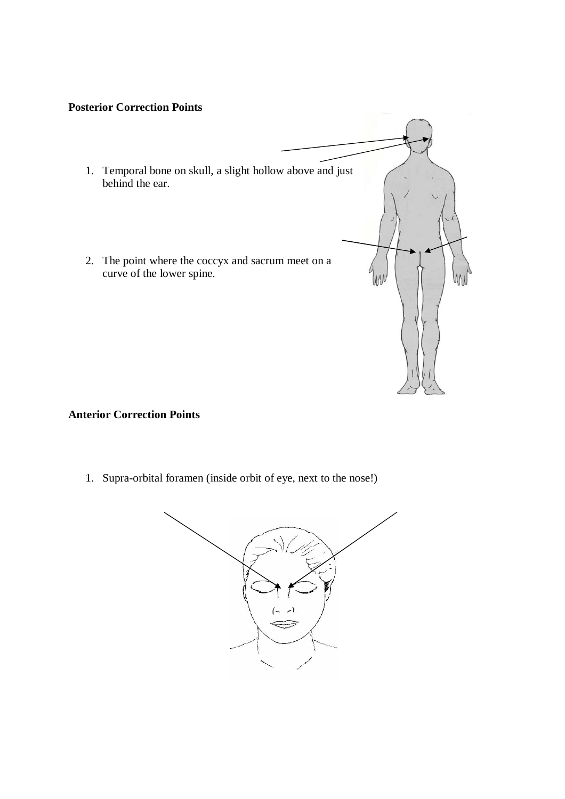## **Posterior Correction Points**

- 1. Temporal bone on skull, a slight hollow above and just behind the ear.
- 2. The point where the coccyx and sacrum meet on a curve of the lower spine.

## **Anterior Correction Points**

1. Supra-orbital foramen (inside orbit of eye, next to the nose!)